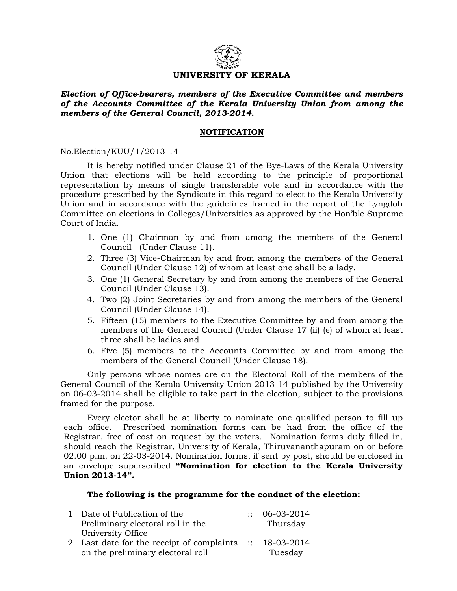

## **UNIVERSITY OF KERALA**

*Election of Office-bearers, members of the Executive Committee and members of the Accounts Committee of the Kerala University Union from among the members of the General Council, 2013-2014.* 

## **NOTIFICATION**

No.Election/KUU/1/2013-14

 It is hereby notified under Clause 21 of the Bye-Laws of the Kerala University Union that elections will be held according to the principle of proportional representation by means of single transferable vote and in accordance with the procedure prescribed by the Syndicate in this regard to elect to the Kerala University Union and in accordance with the guidelines framed in the report of the Lyngdoh Committee on elections in Colleges/Universities as approved by the Hon'ble Supreme Court of India.

- 1. One (1) Chairman by and from among the members of the General Council (Under Clause 11).
- 2. Three (3) Vice-Chairman by and from among the members of the General Council (Under Clause 12) of whom at least one shall be a lady.
- 3. One (1) General Secretary by and from among the members of the General Council (Under Clause 13).
- 4. Two (2) Joint Secretaries by and from among the members of the General Council (Under Clause 14).
- 5. Fifteen (15) members to the Executive Committee by and from among the members of the General Council (Under Clause 17 (ii) (e) of whom at least three shall be ladies and
- 6. Five (5) members to the Accounts Committee by and from among the members of the General Council (Under Clause 18).

Only persons whose names are on the Electoral Roll of the members of the General Council of the Kerala University Union 2013-14 published by the University on 06-03-2014 shall be eligible to take part in the election, subject to the provisions framed for the purpose.

 Every elector shall be at liberty to nominate one qualified person to fill up each office. Prescribed nomination forms can be had from the office of the Registrar, free of cost on request by the voters. Nomination forms duly filled in, should reach the Registrar, University of Kerala, Thiruvananthapuram on or before 02.00 p.m. on 22-03-2014. Nomination forms, if sent by post, should be enclosed in an envelope superscribed **"Nomination for election to the Kerala University Union 2013-14".** 

## **The following is the programme for the conduct of the election:**

| 1 Date of Publication of the                                                   | $\cdots$ | 06-03-2014                         |
|--------------------------------------------------------------------------------|----------|------------------------------------|
| Preliminary electoral roll in the                                              |          | Thursday                           |
| University Office                                                              |          |                                    |
| 2 Last date for the receipt of complaints<br>on the preliminary electoral roll |          | $\therefore$ 18-03-2014<br>Tuesday |